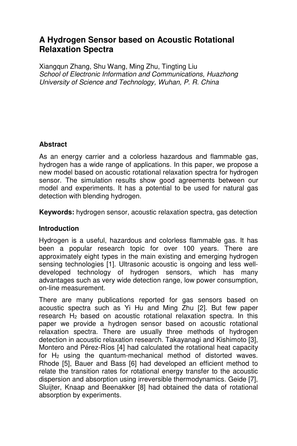# **A Hydrogen Sensor based on Acoustic Rotational Relaxation Spectra**

Xiangqun Zhang, Shu Wang, Ming Zhu, Tingting Liu School of Electronic Information and Communications, Huazhong University of Science and Technology, Wuhan, P. R. China

# **Abstract**

As an energy carrier and a colorless hazardous and flammable gas, hydrogen has a wide range of applications. In this paper, we propose a new model based on acoustic rotational relaxation spectra for hydrogen sensor. The simulation results show good agreements between our model and experiments. It has a potential to be used for natural gas detection with blending hydrogen.

**Keywords:** hydrogen sensor, acoustic relaxation spectra, gas detection

## **Introduction**

Hydrogen is a useful, hazardous and colorless flammable gas. It has been a popular research topic for over 100 years. There are approximately eight types in the main existing and emerging hydrogen sensing technologies [1]. Ultrasonic acoustic is ongoing and less welldeveloped technology of hydrogen sensors, which has many advantages such as very wide detection range, low power consumption, on-line measurement.

There are many publications reported for gas sensors based on acoustic spectra such as Yi Hu and Ming Zhu [2]. But few paper research H2 based on acoustic rotational relaxation spectra. In this paper we provide a hydrogen sensor based on acoustic rotational relaxation spectra. There are usually three methods of hydrogen detection in acoustic relaxation research. Takayanagi and Kishimoto [3], Montero and Pérez-Ríos [4] had calculated the rotational heat capacity for  $H_2$  using the quantum-mechanical method of distorted waves. Rhode [5], Bauer and Bass [6] had developed an efficient method to relate the transition rates for rotational energy transfer to the acoustic dispersion and absorption using irreversible thermodynamics. Geide [7], Sluijter, Knaap and Beenakker [8] had obtained the data of rotational absorption by experiments.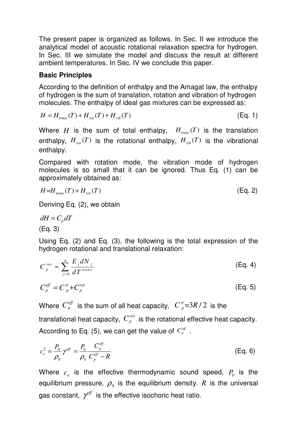The present paper is organized as follows. In Sec. II we introduce the analytical model of acoustic rotational relaxation spectra for hydrogen. In Sec. III we simulate the model and discuss the result at different ambient temperatures. In Sec. IV we conclude this paper.

### **Basic Principles**

According to the definition of enthalpy and the Amagat law, the enthalpy of hydrogen is the sum of translation, rotation and vibration of hydrogen molecules. The enthalpy of ideal gas mixtures can be expressed as:

$$
H = H_{trans}(T) + H_{rot}(T) + H_{vib}(T)
$$
\n(Eq. 1)

Where *H* is the sum of total enthalpy,  $H_{trans}(T)$  is the translation enthalpy,  $H_{rot}(T)$  is the rotational enthalpy,  $H_{vib}(T)$  is the vibrational enthalpy.

Compared with rotation mode, the vibration mode of hydrogen molecules is so small that it can be ignored. Thus Eq. (1) can be approximately obtained as:

$$
H = H_{trans}(T) + H_{rot}(T) \tag{Eq. 2}
$$

Deriving Eq. (2), we obtain

 $dH = C_p dT$ (Eq. 3)

Using Eq. (2) and Eq. (3), the following is the total expression of the hydrogen rotational and translational relaxation:

$$
C_p^{rot} = \sum_{j=0}^n \frac{E_j dN_j}{dT^{trans}}
$$
 (Eq. 4)

$$
C_p^{\text{eff}} = C_p^{\text{tr}} + C_p^{\text{rot}} \tag{Eq. 5}
$$

Where  $C_p^{e\!f\!f}$  is the sum of all heat capacity,  $\left|C_p^r\right| = 3R/2$  is the

translational heat capacity,  $C_p^{rot}$  is the rotational effective heat capacity. According to Eq. (5), we can get the value of  $C_p^{\text{eff}}$ .

$$
c_e^2 = \frac{P_0}{\rho_0} \gamma^{\text{eff}} = \frac{P_0}{\rho_0} \frac{C_p^{\text{eff}}}{C_p^{\text{eff}} - R}
$$
 (Eq. 6)

Where  $c_e$  is the effective thermodynamic sound speed,  $P_0$  is the equilibrium pressure,  $\rho_{\scriptscriptstyle 0}$  is the equilibrium density.  $R$  is the universal gas constant,  $\gamma$ <sup>eff</sup> is the effective isochoric heat ratio.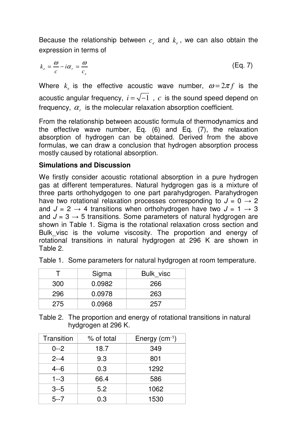Because the relationship between  $c_e$  and  $k_e$ , we can also obtain the expression in terms of

$$
k_e = \frac{\omega}{c} - i\alpha_r = \frac{\omega}{c_e} \tag{Eq. 7}
$$

Where  $k_e$  is the effective acoustic wave number,  $\omega = 2\pi f$  is the acoustic angular frequency,  $i = \sqrt{-1}$ ,  $c$  is the sound speed depend on frequency,  $\alpha_r$  is the molecular relaxation absorption coefficient.

From the relationship between acoustic formula of thermodynamics and the effective wave number, Eq. (6) and Eq. (7), the relaxation absorption of hydrogen can be obtained. Derived from the above formulas, we can draw a conclusion that hydrogen absorption process mostly caused by rotational absorption.

# **Simulations and Discussion**

We firstly consider acoustic rotational absorption in a pure hydrogen gas at different temperatures. Natural hydgrogen gas is a mixture of three parts orthohydgogen to one part parahydgrogen. Parahydrogen have two rotational relaxation processes corresponding to  $J = 0 \rightarrow 2$ and  $J = 2 \rightarrow 4$  transitions when orthohydrogen have two  $J = 1 \rightarrow 3$ and  $J = 3 \rightarrow 5$  transitions. Some parameters of natural hydgrogen are shown in Table 1. Sigma is the rotational relaxation cross section and Bulk visc is the volume viscosity. The proportion and energy of rotational transitions in natural hydgrogen at 296 K are shown in Table 2.

|     | Sigma  | Bulk visc |
|-----|--------|-----------|
| 300 | 0.0982 | 266       |
| 296 | 0.0978 | 263       |
| 275 | 0.0968 | 257.      |

Table 1. Some parameters for natural hydgrogen at room temperature.

Table 2. The proportion and energy of rotational transitions in natural hydgrogen at 296 K.

| Transition | % of total | Energy $(cm-1)$ |
|------------|------------|-----------------|
| $0 - 2$    | 18.7       | 349             |
| $2 - 4$    | 9.3        | 801             |
| $4 - 6$    | 0.3        | 1292            |
| $1 - 3$    | 66.4       | 586             |
| $3 - 5$    | 5.2        | 1062            |
| $5 - 7$    | 0.3        | 1530            |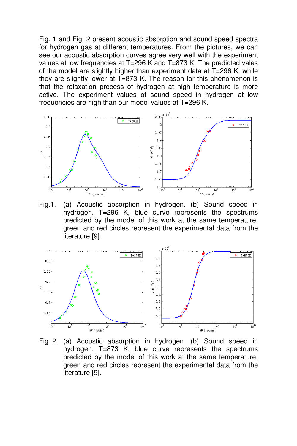Fig. 1 and Fig. 2 present acoustic absorption and sound speed spectra for hydrogen gas at different temperatures. From the pictures, we can see our acoustic absorption curves agree very well with the experiment values at low frequencies at T=296 K and T=873 K. The predicted vales of the model are slightly higher than experiment data at T=296 K, while they are slightly lower at T=873 K. The reason for this phenomenon is that the relaxation process of hydrogen at high temperature is more active. The experiment values of sound speed in hydrogen at low frequencies are high than our model values at T=296 K.



Fig.1. (a) Acoustic absorption in hydrogen. (b) Sound speed in hydrogen. T=296 K, blue curve represents the spectrums predicted by the model of this work at the same temperature, green and red circles represent the experimental data from the literature [9].



Fig. 2. (a) Acoustic absorption in hydrogen. (b) Sound speed in hydrogen. T=873 K, blue curve represents the spectrums predicted by the model of this work at the same temperature, green and red circles represent the experimental data from the literature [9].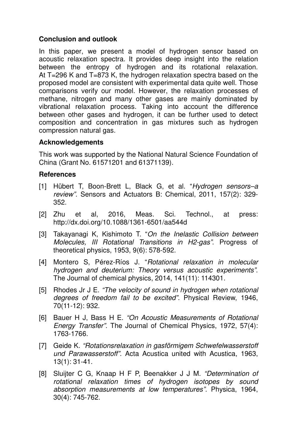## **Conclusion and outlook**

In this paper, we present a model of hydrogen sensor based on acoustic relaxation spectra. It provides deep insight into the relation between the entropy of hydrogen and its rotational relaxation. At T=296 K and T=873 K, the hydrogen relaxation spectra based on the proposed model are consistent with experimental data quite well. Those comparisons verify our model. However, the relaxation processes of methane, nitrogen and many other gases are mainly dominated by vibrational relaxation process. Taking into account the difference between other gases and hydrogen, it can be further used to detect composition and concentration in gas mixtures such as hydrogen compression natural gas.

#### **Acknowledgements**

This work was supported by the National Natural Science Foundation of China (Grant No. 61571201 and 61371139).

#### **References**

- [1] Hübert T, Boon-Brett L, Black G, et al. "Hydrogen sensors-a review". Sensors and Actuators B: Chemical, 2011, 157(2): 329- 352.
- [2] Zhu et al, 2016, Meas. Sci. Technol., at press: http://dx.doi.org/10.1088/1361-6501/aa544d
- [3] Takayanagi K, Kishimoto T. "On the Inelastic Collision between Molecules, III Rotational Transitions in H2-gas". Progress of theoretical physics, 1953, 9(6): 578-592.
- [4] Montero S. Pérez-Ríos J. "Rotational relaxation in molecular hydrogen and deuterium: Theory versus acoustic experiments". The Journal of chemical physics, 2014, 141(11): 114301.
- [5] Rhodes Jr J E. "The velocity of sound in hydrogen when rotational degrees of freedom fail to be excited". Physical Review, 1946, 70(11-12): 932.
- [6] Bauer H J, Bass H E. "On Acoustic Measurements of Rotational Energy Transfer". The Journal of Chemical Physics, 1972, 57(4): 1763-1766.
- [7] Geide K. "Rotationsrelaxation in gasförmigem Schwefelwasserstoff und Parawasserstoff". Acta Acustica united with Acustica, 1963, 13(1): 31-41.
- [8] Sluijter C G, Knaap H F P, Beenakker J J M. "Determination of rotational relaxation times of hydrogen isotopes by sound absorption measurements at low temperatures". Physica, 1964, 30(4): 745-762.